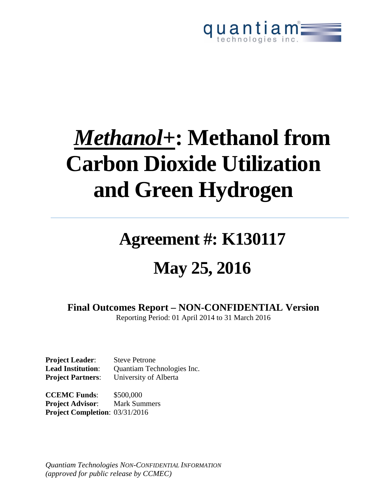

# *Methanol+***: Methanol from Carbon Dioxide Utilization and Green Hydrogen**

# **Agreement #: K130117**

# **May 25, 2016**

**Final Outcomes Report – NON-CONFIDENTIAL Version**

Reporting Period: 01 April 2014 to 31 March 2016

**Project Leader:** Steve Petrone **Lead Institution**: Quantiam Technologies Inc. **Project Partners**: University of Alberta

**CCEMC Funds**: \$500,000 **Project Advisor**: Mark Summers **Project Completion**: 03/31/2016

*Quantiam Technologies NON-CONFIDENTIAL INFORMATION (approved for public release by CCMEC)*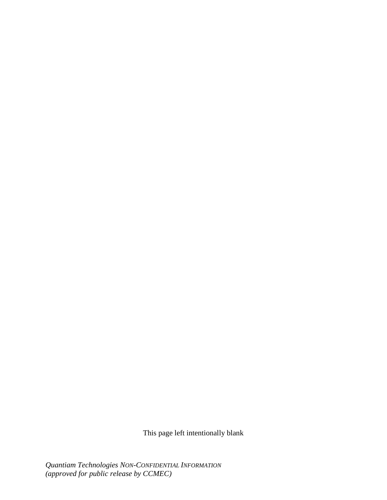This page left intentionally blank

*Quantiam Technologies NON-CONFIDENTIAL INFORMATION (approved for public release by CCMEC)*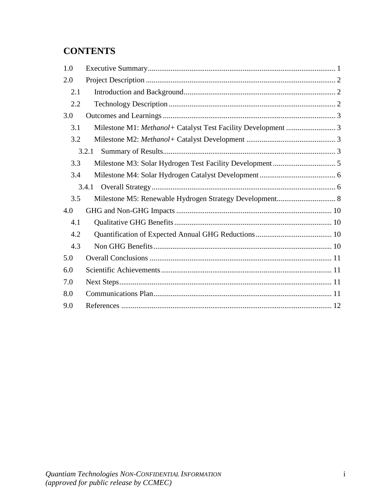# **CONTENTS**

| 1.0 |       |  |
|-----|-------|--|
| 2.0 |       |  |
| 2.1 |       |  |
| 2.2 |       |  |
| 3.0 |       |  |
| 3.1 |       |  |
| 3.2 |       |  |
|     | 3.2.1 |  |
| 3.3 |       |  |
| 3.4 |       |  |
|     |       |  |
| 3.5 |       |  |
| 4.0 |       |  |
| 4.1 |       |  |
| 4.2 |       |  |
| 4.3 |       |  |
| 5.0 |       |  |
| 6.0 |       |  |
| 7.0 |       |  |
| 8.0 |       |  |
| 9.0 |       |  |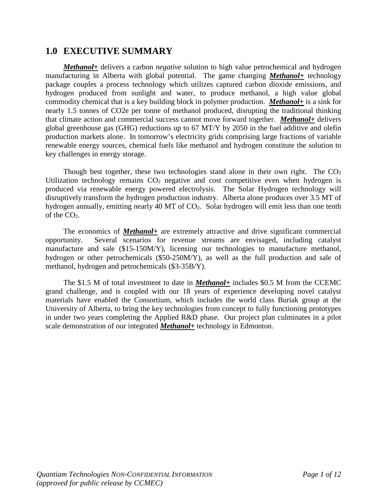### <span id="page-3-0"></span>**1.0 EXECUTIVE SUMMARY**

*Methanol+* delivers a carbon *negative* solution to high value petrochemical and hydrogen manufacturing in Alberta with global potential. The game changing *Methanol+* technology package couples a process technology which utilizes captured carbon dioxide emissions, and hydrogen produced from sunlight and water, to produce methanol, a high value global commodity chemical that is a key building block in polymer production. *Methanol+* is a sink for nearly 1.5 tonnes of CO2e per tonne of methanol produced, disrupting the traditional thinking that climate action and commercial success cannot move forward together. *Methanol+* delivers global greenhouse gas (GHG) reductions up to 67 MT/Y by 2050 in the fuel additive and olefin production markets alone. In tomorrow's electricity grids comprising large fractions of variable renewable energy sources, chemical fuels like methanol and hydrogen constitute the solution to key challenges in energy storage.

Though best together, these two technologies stand alone in their own right. The  $CO<sub>2</sub>$ Utilization technology remains  $CO<sub>2</sub>$  negative and cost competitive even when hydrogen is produced via renewable energy powered electrolysis. The Solar Hydrogen technology will disruptively transform the hydrogen production industry. Alberta alone produces over 3.5 MT of hydrogen annually, emitting nearly 40 MT of CO<sub>2</sub>. Solar hydrogen will emit less than one tenth of the  $CO<sub>2</sub>$ .

The economics of *Methanol+* are extremely attractive and drive significant commercial opportunity. Several scenarios for revenue streams are envisaged, including catalyst manufacture and sale (\$15-150M/Y), licensing our technologies to manufacture methanol, hydrogen or other petrochemicals (\$50-250M/Y), as well as the full production and sale of methanol, hydrogen and petrochemicals (\$3-35B/Y).

The \$1.5 M of total investment to date in *Methanol+* includes \$0.5 M from the CCEMC grand challenge, and is coupled with our 18 years of experience developing novel catalyst materials have enabled the Consortium, which includes the world class Buriak group at the University of Alberta, to bring the key technologies from concept to fully functioning prototypes in under two years completing the Applied R&D phase. Our project plan culminates in a pilot scale demonstration of our integrated **Methanol**+ technology in Edmonton.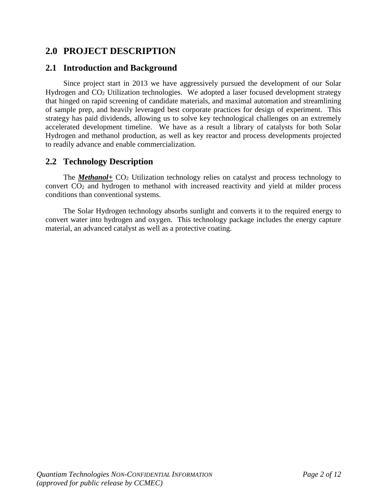# <span id="page-4-0"></span>**2.0 PROJECT DESCRIPTION**

#### <span id="page-4-1"></span>**2.1 Introduction and Background**

Since project start in 2013 we have aggressively pursued the development of our Solar Hydrogen and CO<sub>2</sub> Utilization technologies. We adopted a laser focused development strategy that hinged on rapid screening of candidate materials, and maximal automation and streamlining of sample prep, and heavily leveraged best corporate practices for design of experiment. This strategy has paid dividends, allowing us to solve key technological challenges on an extremely accelerated development timeline. We have as a result a library of catalysts for both Solar Hydrogen and methanol production, as well as key reactor and process developments projected to readily advance and enable commercialization.

#### <span id="page-4-2"></span>**2.2 Technology Description**

The *Methanol*+ CO<sub>2</sub> Utilization technology relies on catalyst and process technology to convert CO2 and hydrogen to methanol with increased reactivity and yield at milder process conditions than conventional systems.

The Solar Hydrogen technology absorbs sunlight and converts it to the required energy to convert water into hydrogen and oxygen. This technology package includes the energy capture material, an advanced catalyst as well as a protective coating.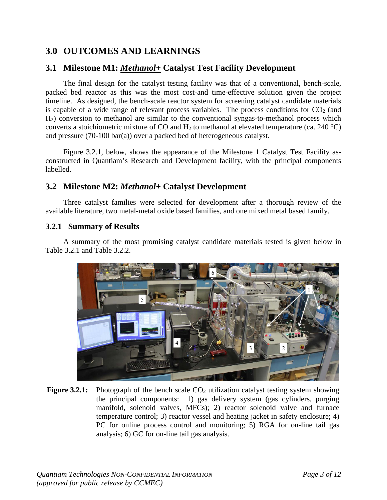# <span id="page-5-0"></span>**3.0 OUTCOMES AND LEARNINGS**

#### <span id="page-5-1"></span>**3.1 Milestone M1:** *Methanol+* **Catalyst Test Facility Development**

The final design for the catalyst testing facility was that of a conventional, bench-scale, packed bed reactor as this was the most cost-and time-effective solution given the project timeline. As designed, the bench-scale reactor system for screening catalyst candidate materials is capable of a wide range of relevant process variables. The process conditions for  $CO<sub>2</sub>$  (and H2) conversion to methanol are similar to the conventional syngas-to-methanol process which converts a stoichiometric mixture of CO and  $H_2$  to methanol at elevated temperature (ca. 240 °C) and pressure (70-100 bar(a)) over a packed bed of heterogeneous catalyst.

Figure 3.2.1, below, shows the appearance of the Milestone 1 Catalyst Test Facility asconstructed in Quantiam's Research and Development facility, with the principal components labelled.

#### <span id="page-5-2"></span>**3.2 Milestone M2:** *Methanol+* **Catalyst Development**

Three catalyst families were selected for development after a thorough review of the available literature, two metal-metal oxide based families, and one mixed metal based family.

#### <span id="page-5-3"></span>**3.2.1 Summary of Results**

A summary of the most promising catalyst candidate materials tested is given below in [Table 3.2.1](#page-6-0) and [Table 3.2.2.](#page-6-1)



**Figure 3.2.1:** Photograph of the bench scale  $CO<sub>2</sub>$  utilization catalyst testing system showing the principal components: 1) gas delivery system (gas cylinders, purging manifold, solenoid valves, MFCs); 2) reactor solenoid valve and furnace temperature control; 3) reactor vessel and heating jacket in safety enclosure; 4) PC for online process control and monitoring; 5) RGA for on-line tail gas analysis; 6) GC for on-line tail gas analysis.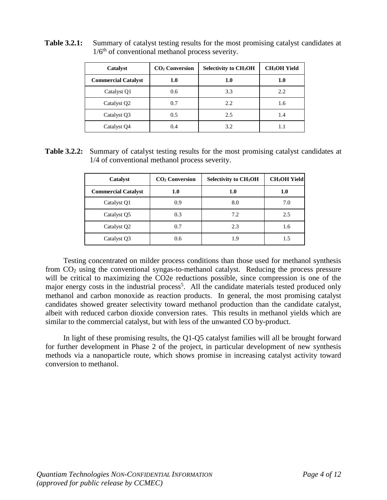| Catalyst                   | $CO2$ Conversion | <b>Selectivity to CH3OH</b> | <b>CH<sub>3</sub>OH</b> Yield |
|----------------------------|------------------|-----------------------------|-------------------------------|
| <b>Commercial Catalyst</b> | 1.0              | 1.0                         | 1.0                           |
| Catalyst Q1                | 0.6              | 3.3                         | 2.2                           |
| Catalyst Q2                | 0.7              | 2.2                         | 1.6                           |
| Catalyst Q3                | 0.5              | 2.5                         | 1.4                           |
| Catalyst Q4                | 0.4              | 3.2                         |                               |

<span id="page-6-0"></span>**Table 3.2.1:** Summary of catalyst testing results for the most promising catalyst candidates at  $1/6<sup>th</sup>$  of conventional methanol process severity.

<span id="page-6-1"></span>**Table 3.2.2:** Summary of catalyst testing results for the most promising catalyst candidates at 1/4 of conventional methanol process severity.

| Catalyst                   | $CO2$ Conversion | <b>Selectivity to CH3OH</b> | <b>CH<sub>3</sub>OH</b> Yield |
|----------------------------|------------------|-----------------------------|-------------------------------|
| <b>Commercial Catalyst</b> | 1.0              | 1.0                         | 1.0                           |
| Catalyst Q1                | 0.9              | 8.0                         | 7.0                           |
| Catalyst Q5                | 0.3              | 7.2                         | 2.5                           |
| Catalyst Q2                | 0.7              | 2.3                         | 1.6                           |
| Catalyst Q3                | 0.6              | 1.9                         | 1.5                           |

Testing concentrated on milder process conditions than those used for methanol synthesis from CO2 using the conventional syngas-to-methanol catalyst. Reducing the process pressure will be critical to maximizing the CO2e reductions possible, since compression is one of the major energy costs in the industrial process<sup>5</sup>. All the candidate materials tested produced only methanol and carbon monoxide as reaction products. In general, the most promising catalyst candidates showed greater selectivity toward methanol production than the candidate catalyst, albeit with reduced carbon dioxide conversion rates. This results in methanol yields which are similar to the commercial catalyst, but with less of the unwanted CO by-product.

In light of these promising results, the Q1-Q5 catalyst families will all be brought forward for further development in Phase 2 of the project, in particular development of new synthesis methods via a nanoparticle route, which shows promise in increasing catalyst activity toward conversion to methanol.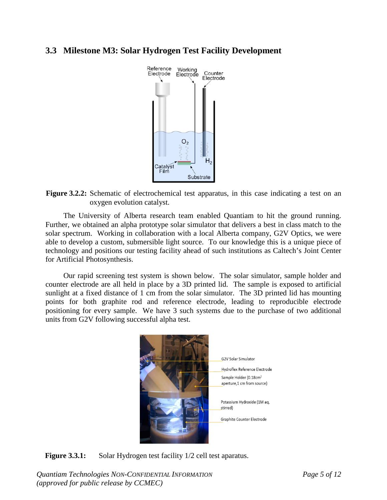#### <span id="page-7-0"></span>**3.3 Milestone M3: Solar Hydrogen Test Facility Development**



**Figure 3.2.2:** Schematic of electrochemical test apparatus, in this case indicating a test on an oxygen evolution catalyst.

The University of Alberta research team enabled Quantiam to hit the ground running. Further, we obtained an alpha prototype solar simulator that delivers a best in class match to the solar spectrum. Working in collaboration with a local Alberta company, G2V Optics, we were able to develop a custom, submersible light source. To our knowledge this is a unique piece of technology and positions our testing facility ahead of such institutions as Caltech's Joint Center for Artificial Photosynthesis.

Our rapid screening test system is shown below. The solar simulator, sample holder and counter electrode are all held in place by a 3D printed lid. The sample is exposed to artificial sunlight at a fixed distance of 1 cm from the solar simulator. The 3D printed lid has mounting points for both graphite rod and reference electrode, leading to reproducible electrode positioning for every sample. We have 3 such systems due to the purchase of two additional units from G2V following successful alpha test.



**Figure 3.3.1:** Solar Hydrogen test facility 1/2 cell test aparatus.

*Quantiam Technologies NON-CONFIDENTIAL INFORMATION Page 5 of 12 (approved for public release by CCMEC)*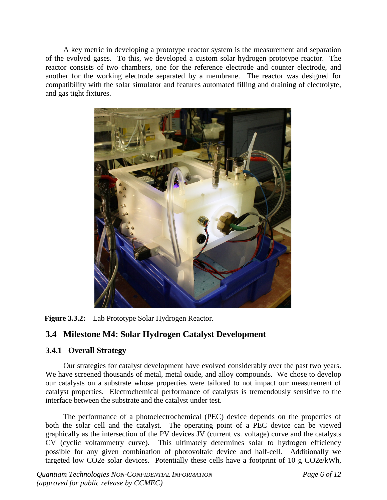A key metric in developing a prototype reactor system is the measurement and separation of the evolved gases. To this, we developed a custom solar hydrogen prototype reactor. The reactor consists of two chambers, one for the reference electrode and counter electrode, and another for the working electrode separated by a membrane. The reactor was designed for compatibility with the solar simulator and features automated filling and draining of electrolyte, and gas tight fixtures.



**Figure 3.3.2:** Lab Prototype Solar Hydrogen Reactor.

# <span id="page-8-0"></span>**3.4 Milestone M4: Solar Hydrogen Catalyst Development**

#### <span id="page-8-1"></span>**3.4.1 Overall Strategy**

Our strategies for catalyst development have evolved considerably over the past two years. We have screened thousands of metal, metal oxide, and alloy compounds. We chose to develop our catalysts on a substrate whose properties were tailored to not impact our measurement of catalyst properties. Electrochemical performance of catalysts is tremendously sensitive to the interface between the substrate and the catalyst under test.

The performance of a photoelectrochemical (PEC) device depends on the properties of both the solar cell and the catalyst. The operating point of a PEC device can be viewed graphically as the intersection of the PV devices JV (current vs. voltage) curve and the catalysts CV (cyclic voltammetry curve). This ultimately determines solar to hydrogen efficiency possible for any given combination of photovoltaic device and half-cell. Additionally we targeted low CO2e solar devices. Potentially these cells have a footprint of 10 g CO2e/kWh,

*Quantiam Technologies NON-CONFIDENTIAL INFORMATION Page 6 of 12 (approved for public release by CCMEC)*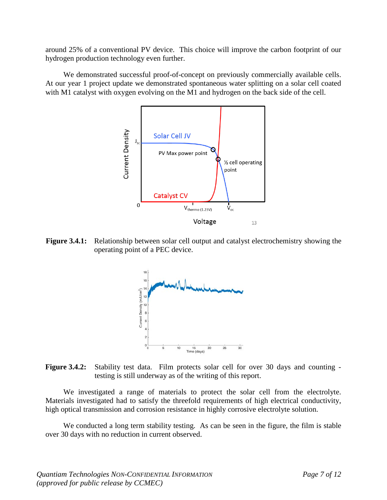around 25% of a conventional PV device. This choice will improve the carbon footprint of our hydrogen production technology even further.

We demonstrated successful proof-of-concept on previously commercially available cells. At our year 1 project update we demonstrated spontaneous water splitting on a solar cell coated with M1 catalyst with oxygen evolving on the M1 and hydrogen on the back side of the cell.



**Figure 3.4.1:** Relationship between solar cell output and catalyst electrochemistry showing the operating point of a PEC device.



**Figure 3.4.2:** Stability test data. Film protects solar cell for over 30 days and counting testing is still underway as of the writing of this report.

We investigated a range of materials to protect the solar cell from the electrolyte. Materials investigated had to satisfy the threefold requirements of high electrical conductivity, high optical transmission and corrosion resistance in highly corrosive electrolyte solution.

We conducted a long term stability testing. As can be seen in the figure, the film is stable over 30 days with no reduction in current observed.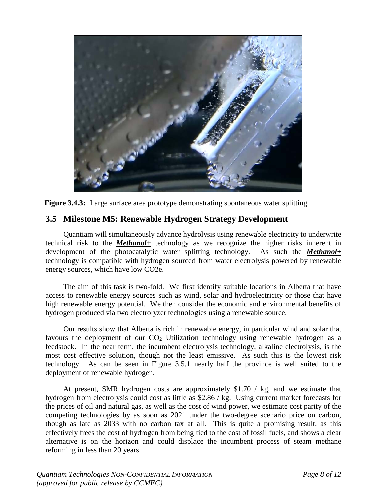



#### <span id="page-10-0"></span>**3.5 Milestone M5: Renewable Hydrogen Strategy Development**

Quantiam will simultaneously advance hydrolysis using renewable electricity to underwrite technical risk to the *Methanol+* technology as we recognize the higher risks inherent in development of the photocatalytic water splitting technology. As such the *Methanol+* technology is compatible with hydrogen sourced from water electrolysis powered by renewable energy sources, which have low CO2e.

The aim of this task is two-fold. We first identify suitable locations in Alberta that have access to renewable energy sources such as wind, solar and hydroelectricity or those that have high renewable energy potential. We then consider the economic and environmental benefits of hydrogen produced via two electrolyzer technologies using a renewable source.

Our results show that Alberta is rich in renewable energy, in particular wind and solar that favours the deployment of our  $CO<sub>2</sub>$  Utilization technology using renewable hydrogen as a feedstock. In the near term, the incumbent electrolysis technology, alkaline electrolysis, is the most cost effective solution, though not the least emissive. As such this is the lowest risk technology. As can be seen in [Figure 3.5.1](#page-11-0) nearly half the province is well suited to the deployment of renewable hydrogen.

At present, SMR hydrogen costs are approximately \$1.70 / kg, and we estimate that hydrogen from electrolysis could cost as little as \$2.86 / kg. Using current market forecasts for the prices of oil and natural gas, as well as the cost of wind power, we estimate cost parity of the competing technologies by as soon as 2021 under the two-degree scenario price on carbon, though as late as 2033 with no carbon tax at all. This is quite a promising result, as this effectively frees the cost of hydrogen from being tied to the cost of fossil fuels, and shows a clear alternative is on the horizon and could displace the incumbent process of steam methane reforming in less than 20 years.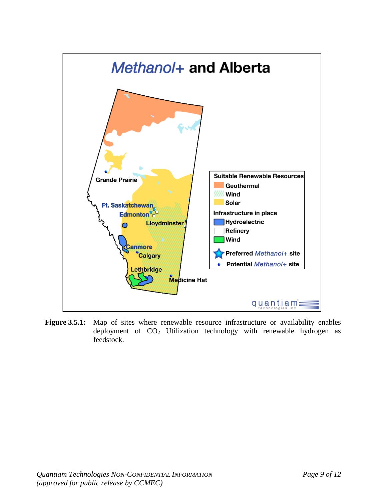

<span id="page-11-0"></span>Figure 3.5.1: Map of sites where renewable resource infrastructure or availability enables deployment of  $CO<sub>2</sub>$  Utilization technology with renewable hydrogen as feedstock.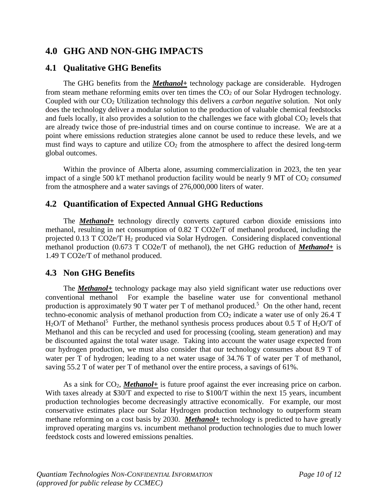# <span id="page-12-0"></span>**4.0 GHG AND NON-GHG IMPACTS**

#### <span id="page-12-1"></span>**4.1 Qualitative GHG Benefits**

The GHG benefits from the *Methanol+* technology package are considerable. Hydrogen from steam methane reforming emits over ten times the  $CO<sub>2</sub>$  of our Solar Hydrogen technology. Coupled with our CO2 Utilization technology this delivers a *carbon negative* solution. Not only does the technology deliver a modular solution to the production of valuable chemical feedstocks and fuels locally, it also provides a solution to the challenges we face with global  $CO<sub>2</sub>$  levels that are already twice those of pre-industrial times and on course continue to increase. We are at a point where emissions reduction strategies alone cannot be used to reduce these levels, and we must find ways to capture and utilize  $CO<sub>2</sub>$  from the atmosphere to affect the desired long-term global outcomes.

Within the province of Alberta alone, assuming commercialization in 2023, the ten year impact of a single 500 kT methanol production facility would be nearly 9 MT of CO<sub>2</sub> *consumed* from the atmosphere and a water savings of 276,000,000 liters of water.

#### <span id="page-12-2"></span>**4.2 Quantification of Expected Annual GHG Reductions**

The *Methanol+* technology directly converts captured carbon dioxide emissions into methanol, resulting in net consumption of 0.82 T CO2e/T of methanol produced, including the projected 0.13 T CO2e/T H2 produced via Solar Hydrogen. Considering displaced conventional methanol production (0.673 T CO2e/T of methanol), the net GHG reduction of *Methanol+* is 1.49 T CO2e/T of methanol produced.

#### <span id="page-12-3"></span>**4.3 Non GHG Benefits**

The *Methanol+* technology package may also yield significant water use reductions over conventional methanol For example the baseline water use for conventional methanol production is approximately 90 T water per T of methanol produced.<sup>5</sup> On the other hand, recent techno-economic analysis of methanol production from  $CO<sub>2</sub>$  indicate a water use of only 26.4 T  $H<sub>2</sub>O/T$  of Methanol<sup>5</sup> Further, the methanol synthesis process produces about 0.5 T of  $H<sub>2</sub>O/T$  of Methanol and this can be recycled and used for processing (cooling, steam generation) and may be discounted against the total water usage. Taking into account the water usage expected from our hydrogen production, we must also consider that our technology consumes about 8.9 T of water per T of hydrogen; leading to a net water usage of 34.76 T of water per T of methanol, saving 55.2 T of water per T of methanol over the entire process, a savings of 61%.

As a sink for CO2, *Methanol+* is future proof against the ever increasing price on carbon. With taxes already at \$30/T and expected to rise to \$100/T within the next 15 years, incumbent production technologies become decreasingly attractive economically. For example, our most conservative estimates place our Solar Hydrogen production technology to outperform steam methane reforming on a cost basis by 2030. *Methanol+* technology is predicted to have greatly improved operating margins vs. incumbent methanol production technologies due to much lower feedstock costs and lowered emissions penalties.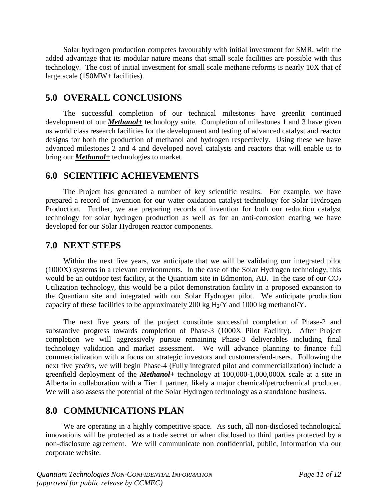Solar hydrogen production competes favourably with initial investment for SMR, with the added advantage that its modular nature means that small scale facilities are possible with this technology. The cost of initial investment for small scale methane reforms is nearly 10X that of large scale (150MW+ facilities).

# <span id="page-13-0"></span>**5.0 OVERALL CONCLUSIONS**

The successful completion of our technical milestones have greenlit continued development of our *Methanol+* technology suite. Completion of milestones 1 and 3 have given us world class research facilities for the development and testing of advanced catalyst and reactor designs for both the production of methanol and hydrogen respectively. Using these we have advanced milestones 2 and 4 and developed novel catalysts and reactors that will enable us to bring our *Methanol+* technologies to market.

# <span id="page-13-1"></span>**6.0 SCIENTIFIC ACHIEVEMENTS**

The Project has generated a number of key scientific results. For example, we have prepared a record of Invention for our water oxidation catalyst technology for Solar Hydrogen Production. Further, we are preparing records of invention for both our reduction catalyst technology for solar hydrogen production as well as for an anti-corrosion coating we have developed for our Solar Hydrogen reactor components.

# <span id="page-13-2"></span>**7.0 NEXT STEPS**

Within the next five years, we anticipate that we will be validating our integrated pilot (1000X) systems in a relevant environments. In the case of the Solar Hydrogen technology, this would be an outdoor test facility, at the Quantiam site in Edmonton, AB. In the case of our  $CO<sub>2</sub>$ Utilization technology, this would be a pilot demonstration facility in a proposed expansion to the Quantiam site and integrated with our Solar Hydrogen pilot. We anticipate production capacity of these facilities to be approximately 200 kg  $H<sub>2</sub>/Y$  and 1000 kg methanol/Y.

The next five years of the project constitute successful completion of Phase-2 and substantive progress towards completion of Phase-3 (1000X Pilot Facility). After Project completion we will aggressively pursue remaining Phase-3 deliverables including final technology validation and market assessment. We will advance planning to finance full commercialization with a focus on strategic investors and customers/end-users. Following the next five yea9rs, we will begin Phase-4 (Fully integrated pilot and commercialization) include a greenfield deployment of the *Methanol+* technology at 100,000-1,000,000X scale at a site in Alberta in collaboration with a Tier 1 partner, likely a major chemical/petrochemical producer. We will also assess the potential of the Solar Hydrogen technology as a standalone business.

# <span id="page-13-3"></span>**8.0 COMMUNICATIONS PLAN**

We are operating in a highly competitive space. As such, all non-disclosed technological innovations will be protected as a trade secret or when disclosed to third parties protected by a non-disclosure agreement. We will communicate non confidential, public, information via our corporate website.